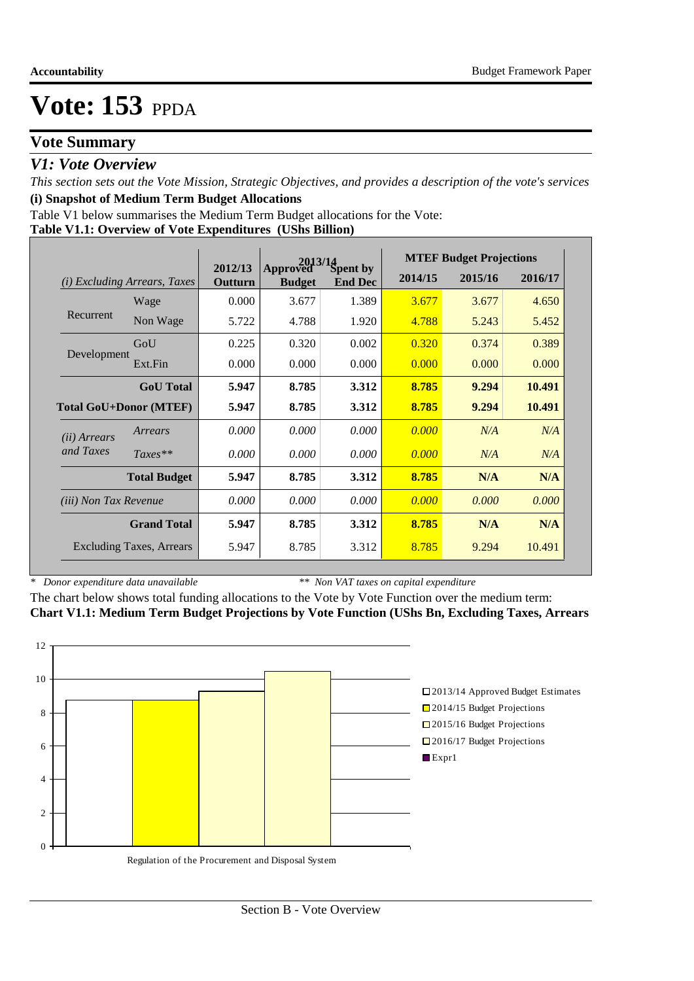# **Vote Summary**

## *V1: Vote Overview*

*This section sets out the Vote Mission, Strategic Objectives, and provides a description of the vote's services* **(i) Snapshot of Medium Term Budget Allocations** 

Table V1 below summarises the Medium Term Budget allocations for the Vote:

#### **Table V1.1: Overview of Vote Expenditures (UShs Billion)**

|                               |                                 | $2013/14$<br>ved Spent by |                           |                |         | <b>MTEF Budget Projections</b> |         |
|-------------------------------|---------------------------------|---------------------------|---------------------------|----------------|---------|--------------------------------|---------|
| (i)                           | <b>Excluding Arrears, Taxes</b> | 2012/13<br>Outturn        | Approved<br><b>Budget</b> | <b>End Dec</b> | 2014/15 | 2015/16                        | 2016/17 |
|                               | Wage                            | 0.000                     | 3.677                     | 1.389          | 3.677   | 3.677                          | 4.650   |
| Recurrent                     | Non Wage                        | 5.722                     | 4.788                     | 1.920          | 4.788   | 5.243                          | 5.452   |
|                               | GoU                             | 0.225                     | 0.320                     | 0.002          | 0.320   | 0.374                          | 0.389   |
| Development                   | Ext.Fin                         | 0.000                     | 0.000                     | 0.000          | 0.000   | 0.000                          | 0.000   |
|                               | <b>GoU</b> Total                | 5.947                     | 8.785                     | 3.312          | 8.785   | 9.294                          | 10.491  |
| <b>Total GoU+Donor (MTEF)</b> |                                 | 5.947                     | 8.785                     | 3.312          | 8.785   | 9.294                          | 10.491  |
| ( <i>ii</i> ) Arrears         | Arrears                         | 0.000                     | 0.000                     | 0.000          | 0.000   | N/A                            | N/A     |
| and Taxes                     | $Taxes**$                       | 0.000                     | 0.000                     | 0.000          | 0.000   | N/A                            | N/A     |
|                               | <b>Total Budget</b>             | 5.947                     | 8.785                     | 3.312          | 8.785   | N/A                            | N/A     |
| <i>(iii)</i> Non Tax Revenue  |                                 | 0.000                     | 0.000                     | 0.000          | 0.000   | 0.000                          | 0.000   |
|                               | <b>Grand Total</b>              | 5.947                     | 8.785                     | 3.312          | 8.785   | N/A                            | N/A     |
|                               | <b>Excluding Taxes, Arrears</b> | 5.947                     | 8.785                     | 3.312          | 8.785   | 9.294                          | 10.491  |

*\* Donor expenditure data unavailable*

*\*\* Non VAT taxes on capital expenditure*

The chart below shows total funding allocations to the Vote by Vote Function over the medium term: **Chart V1.1: Medium Term Budget Projections by Vote Function (UShs Bn, Excluding Taxes, Arrears**

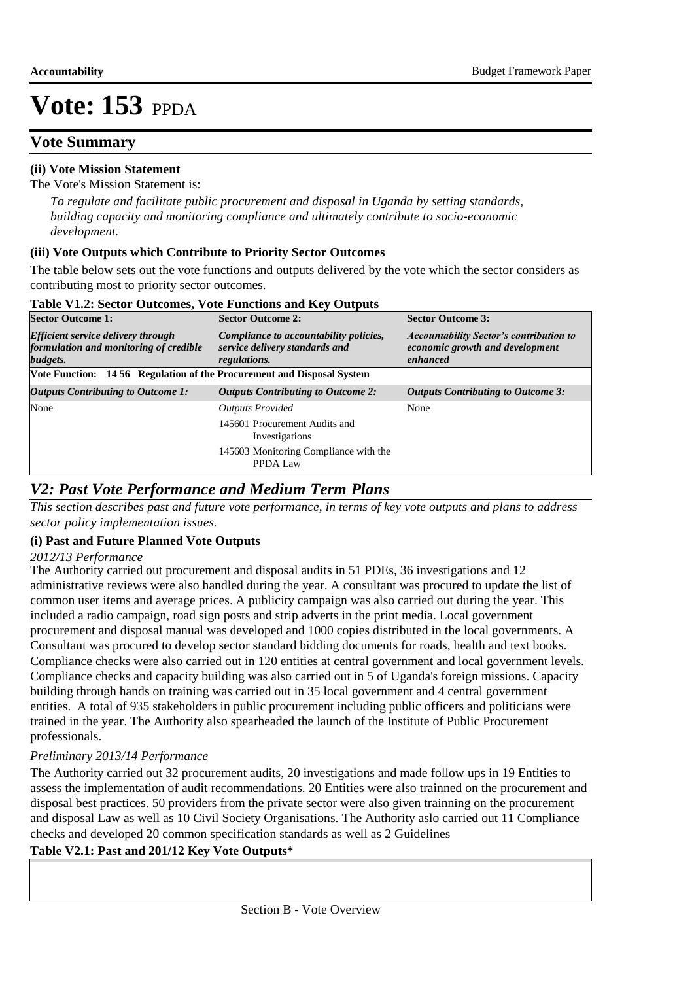# **Vote Summary**

### **(ii) Vote Mission Statement**

The Vote's Mission Statement is:

*To regulate and facilitate public procurement and disposal in Uganda by setting standards, building capacity and monitoring compliance and ultimately contribute to socio-economic development.*

#### **(iii) Vote Outputs which Contribute to Priority Sector Outcomes**

The table below sets out the vote functions and outputs delivered by the vote which the sector considers as contributing most to priority sector outcomes.

| Tuble + The Dector Outcomest + old I uncholls and Ite + Outputs                                 |                                                                                                 |                                                                                               |
|-------------------------------------------------------------------------------------------------|-------------------------------------------------------------------------------------------------|-----------------------------------------------------------------------------------------------|
| <b>Sector Outcome 1:</b>                                                                        | <b>Sector Outcome 2:</b>                                                                        | <b>Sector Outcome 3:</b>                                                                      |
| <b>Efficient service delivery through</b><br>formulation and monitoring of credible<br>budgets. | Compliance to accountability policies,<br>service delivery standards and<br><i>regulations.</i> | <b>Accountability Sector's contribution to</b><br>economic growth and development<br>enhanced |
| Vote Function: 14 56 Regulation of the Procurement and Disposal System                          |                                                                                                 |                                                                                               |
| <b>Outputs Contributing to Outcome 1:</b>                                                       | <b>Outputs Contributing to Outcome 2:</b>                                                       | <b>Outputs Contributing to Outcome 3:</b>                                                     |
| None                                                                                            | <b>Outputs Provided</b>                                                                         | None                                                                                          |
|                                                                                                 | 145601 Procurement Audits and<br>Investigations                                                 |                                                                                               |
|                                                                                                 | 145603 Monitoring Compliance with the<br>PPDA Law                                               |                                                                                               |
|                                                                                                 |                                                                                                 |                                                                                               |

#### **Table V1.2: Sector Outcomes, Vote Functions and Key Outputs**

## *V2: Past Vote Performance and Medium Term Plans*

*This section describes past and future vote performance, in terms of key vote outputs and plans to address sector policy implementation issues.* 

### **(i) Past and Future Planned Vote Outputs**

#### *2012/13 Performance*

The Authority carried out procurement and disposal audits in 51 PDEs, 36 investigations and 12 administrative reviews were also handled during the year. A consultant was procured to update the list of common user items and average prices. A publicity campaign was also carried out during the year. This included a radio campaign, road sign posts and strip adverts in the print media. Local government procurement and disposal manual was developed and 1000 copies distributed in the local governments. A Consultant was procured to develop sector standard bidding documents for roads, health and text books. Compliance checks were also carried out in 120 entities at central government and local government levels. Compliance checks and capacity building was also carried out in 5 of Uganda's foreign missions. Capacity building through hands on training was carried out in 35 local government and 4 central government entities. A total of 935 stakeholders in public procurement including public officers and politicians were trained in the year. The Authority also spearheaded the launch of the Institute of Public Procurement professionals.

### *Preliminary 2013/14 Performance*

The Authority carried out 32 procurement audits, 20 investigations and made follow ups in 19 Entities to assess the implementation of audit recommendations. 20 Entities were also trainned on the procurement and disposal best practices. 50 providers from the private sector were also given trainning on the procurement and disposal Law as well as 10 Civil Society Organisations. The Authority aslo carried out 11 Compliance checks and developed 20 common specification standards as well as 2 Guidelines

### **Table V2.1: Past and 201/12 Key Vote Outputs\***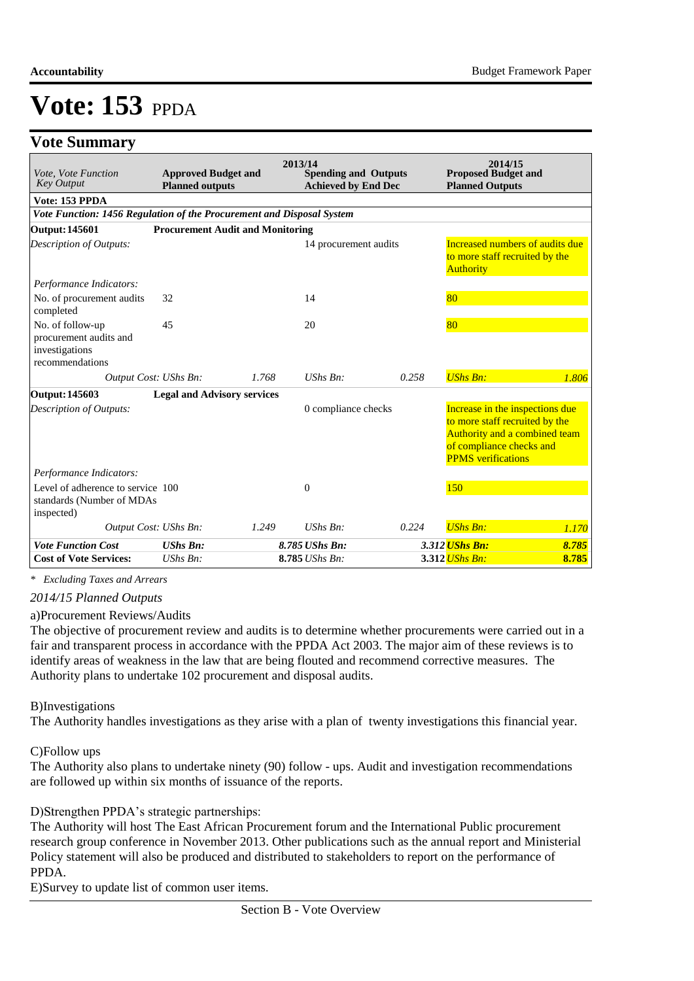# **Vote Summary**

| Vote, Vote Function<br><b>Key Output</b>                                        | <b>Approved Budget and</b><br><b>Planned outputs</b> |       | 2013/14<br><b>Spending and Outputs</b><br><b>Achieved by End Dec</b> |       | 2014/15<br><b>Proposed Budget and</b><br><b>Planned Outputs</b>                                                                                             |       |
|---------------------------------------------------------------------------------|------------------------------------------------------|-------|----------------------------------------------------------------------|-------|-------------------------------------------------------------------------------------------------------------------------------------------------------------|-------|
| Vote: 153 PPDA                                                                  |                                                      |       |                                                                      |       |                                                                                                                                                             |       |
| Vote Function: 1456 Regulation of the Procurement and Disposal System           |                                                      |       |                                                                      |       |                                                                                                                                                             |       |
| <b>Output: 145601</b>                                                           | <b>Procurement Audit and Monitoring</b>              |       |                                                                      |       |                                                                                                                                                             |       |
| Description of Outputs:                                                         |                                                      |       | 14 procurement audits                                                |       | Increased numbers of audits due<br>to more staff recruited by the<br><b>Authority</b>                                                                       |       |
| Performance Indicators:                                                         |                                                      |       |                                                                      |       |                                                                                                                                                             |       |
| No. of procurement audits<br>completed                                          | 32                                                   |       | 14                                                                   |       | 80                                                                                                                                                          |       |
| No. of follow-up<br>procurement audits and<br>investigations<br>recommendations | 45                                                   |       | 20                                                                   |       | 80                                                                                                                                                          |       |
| Output Cost: UShs Bn:                                                           |                                                      | 1.768 | $UShs Bn$ :                                                          | 0.258 | <b>UShs Bn:</b>                                                                                                                                             | 1.806 |
| Output: 145603                                                                  | <b>Legal and Advisory services</b>                   |       |                                                                      |       |                                                                                                                                                             |       |
| Description of Outputs:                                                         |                                                      |       | 0 compliance checks                                                  |       | Increase in the inspections due<br>to more staff recruited by the<br>Authority and a combined team<br>of compliance checks and<br><b>PPMS</b> verifications |       |
| Performance Indicators:                                                         |                                                      |       |                                                                      |       |                                                                                                                                                             |       |
| Level of adherence to service 100<br>standards (Number of MDAs<br>inspected)    |                                                      |       | $\theta$                                                             |       | 150                                                                                                                                                         |       |
| Output Cost: UShs Bn:                                                           |                                                      | 1.249 | $UShs Bn$ :                                                          | 0.224 | <b>UShs Bn:</b>                                                                                                                                             | 1.170 |
| <b>Vote Function Cost</b>                                                       | <b>UShs Bn:</b>                                      |       | 8.785 UShs Bn:                                                       |       | 3.312 <i>UShs Bn:</i>                                                                                                                                       | 8.785 |
| <b>Cost of Vote Services:</b>                                                   | $UShs Bn$ :                                          |       | 8.785 UShs Bn:                                                       |       | 3.312 <i>UShs Bn:</i>                                                                                                                                       | 8.785 |

*\* Excluding Taxes and Arrears*

*2014/15 Planned Outputs*

a) Procurement Reviews/Audits

The objective of procurement review and audits is to determine whether procurements were carried out in a fair and transparent process in accordance with the PPDA Act 2003. The major aim of these reviews is to identify areas of weakness in the law that are being flouted and recommend corrective measures. The Authority plans to undertake 102 procurement and disposal audits.

#### B) Investigations

The Authority handles investigations as they arise with a plan of twenty investigations this financial year.

#### C)Follow ups

The Authority also plans to undertake ninety (90) follow - ups. Audit and investigation recommendations are followed up within six months of issuance of the reports.

#### D) Strengthen PPDA's strategic partnerships:

The Authority will host The East African Procurement forum and the International Public procurement research group conference in November 2013. Other publications such as the annual report and Ministerial Policy statement will also be produced and distributed to stakeholders to report on the performance of PPDA.

E) Survey to update list of common user items.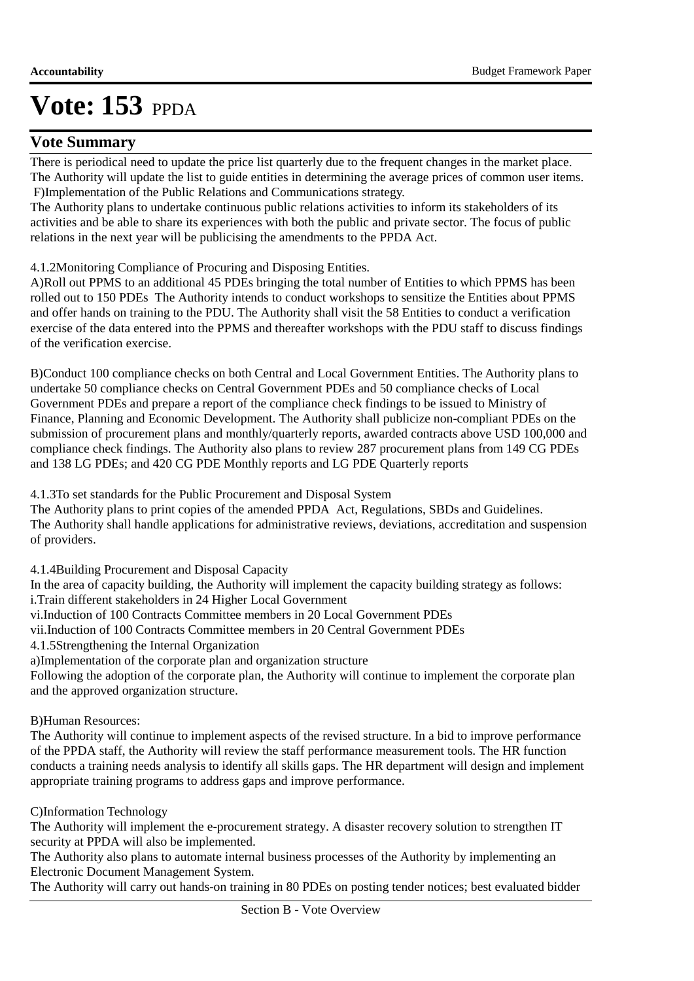## **Vote Summary**

There is periodical need to update the price list quarterly due to the frequent changes in the market place. The Authority will update the list to guide entities in determining the average prices of common user items. F)Implementation of the Public Relations and Communications strategy.

The Authority plans to undertake continuous public relations activities to inform its stakeholders of its activities and be able to share its experiences with both the public and private sector. The focus of public relations in the next year will be publicising the amendments to the PPDA Act.

4.1.2 Monitoring Compliance of Procuring and Disposing Entities.

A)Roll out PPMS to an additional 45 PDEs bringing the total number of Entities to which PPMS has been rolled out to 150 PDEs The Authority intends to conduct workshops to sensitize the Entities about PPMS and offer hands on training to the PDU. The Authority shall visit the 58 Entities to conduct a verification exercise of the data entered into the PPMS and thereafter workshops with the PDU staff to discuss findings of the verification exercise.

B)Conduct 100 compliance checks on both Central and Local Government Entities. The Authority plans to undertake 50 compliance checks on Central Government PDEs and 50 compliance checks of Local Government PDEs and prepare a report of the compliance check findings to be issued to Ministry of Finance, Planning and Economic Development. The Authority shall publicize non-compliant PDEs on the submission of procurement plans and monthly/quarterly reports, awarded contracts above USD 100,000 and compliance check findings. The Authority also plans to review 287 procurement plans from 149 CG PDEs and 138 LG PDEs; and 420 CG PDE Monthly reports and LG PDE Quarterly reports

4.1.3 To set standards for the Public Procurement and Disposal System

The Authority plans to print copies of the amended PPDA Act, Regulations, SBDs and Guidelines. The Authority shall handle applications for administrative reviews, deviations, accreditation and suspension of providers.

4.1.4 Building Procurement and Disposal Capacity

In the area of capacity building, the Authority will implement the capacity building strategy as follows:

i. Train different stakeholders in 24 Higher Local Government

vi.Induction of 100 Contracts Committee members in 20 Local Government PDEs

vii. Induction of 100 Contracts Committee members in 20 Central Government PDEs

4.1.5 Strengthening the Internal Organization

a) Implementation of the corporate plan and organization structure

Following the adoption of the corporate plan, the Authority will continue to implement the corporate plan and the approved organization structure.

#### **B)**Human Resources:

The Authority will continue to implement aspects of the revised structure. In a bid to improve performance of the PPDA staff, the Authority will review the staff performance measurement tools. The HR function conducts a training needs analysis to identify all skills gaps. The HR department will design and implement appropriate training programs to address gaps and improve performance.

#### C)Information Technology

The Authority will implement the e-procurement strategy. A disaster recovery solution to strengthen IT security at PPDA will also be implemented.

The Authority also plans to automate internal business processes of the Authority by implementing an Electronic Document Management System.

The Authority will carry out hands-on training in 80 PDEs on posting tender notices; best evaluated bidder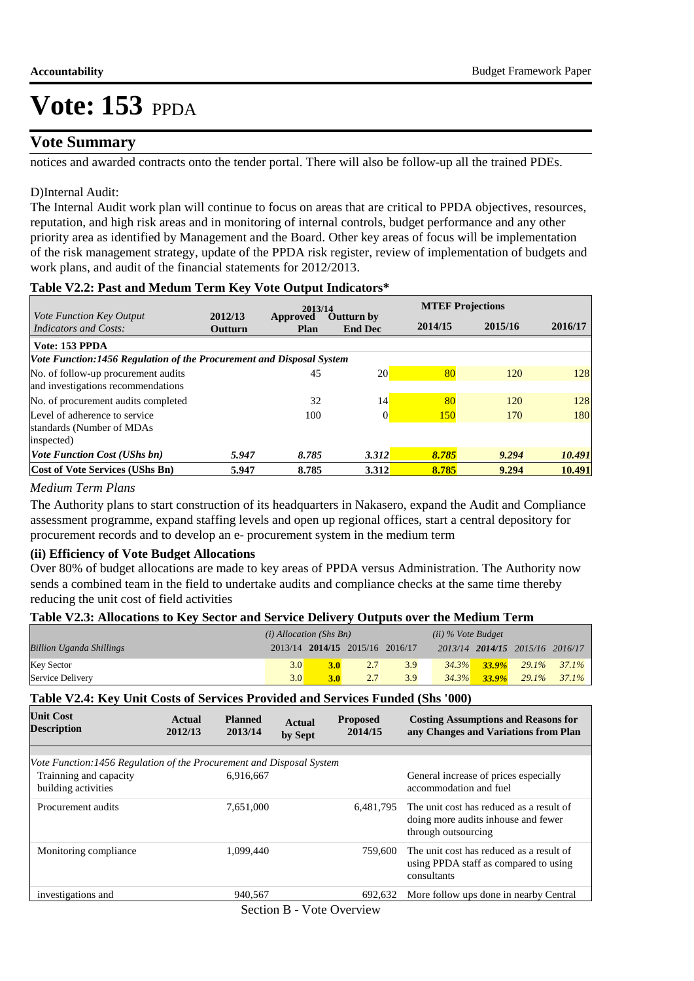## **Vote Summary**

notices and awarded contracts onto the tender portal. There will also be follow-up all the trained PDEs.

#### D) Internal Audit:

The Internal Audit work plan will continue to focus on areas that are critical to PPDA objectives, resources, reputation, and high risk areas and in monitoring of internal controls, budget performance and any other priority area as identified by Management and the Board. Other key areas of focus will be implementation of the risk management strategy, update of the PPDA risk register, review of implementation of budgets and work plans, and audit of the financial statements for 2012/2013.

#### **Table V2.2: Past and Medum Term Key Vote Output Indicators\***

|                                                                      |                    | 2013/14                 |                              | <b>MTEF Projections</b> |         |         |  |
|----------------------------------------------------------------------|--------------------|-------------------------|------------------------------|-------------------------|---------|---------|--|
| Vote Function Key Output<br>Indicators and Costs:                    | 2012/13<br>Outturn | Approved<br><b>Plan</b> | Outturn by<br><b>End Dec</b> | 2014/15                 | 2015/16 | 2016/17 |  |
| Vote: 153 PPDA                                                       |                    |                         |                              |                         |         |         |  |
| Vote Function:1456 Regulation of the Procurement and Disposal System |                    |                         |                              |                         |         |         |  |
| No. of follow-up procurement audits                                  |                    | 45                      | <b>20</b>                    | 80                      | 120     | 128     |  |
| and investigations recommendations                                   |                    |                         |                              |                         |         |         |  |
| No. of procurement audits completed                                  |                    | 32                      | 14                           | 80                      | 120     | 128     |  |
| Level of adherence to service                                        |                    | 100                     | $\Omega$                     | <b>150</b>              | 170     | 180     |  |
| standards (Number of MDAs                                            |                    |                         |                              |                         |         |         |  |
| inspected)                                                           |                    |                         |                              |                         |         |         |  |
| <b>Vote Function Cost (UShs bn)</b>                                  | 5.947              | 8.785                   | 3.312                        | 8.785                   | 9.294   | 10.491  |  |
| Cost of Vote Services (UShs Bn)                                      | 5.947              | 8.785                   | 3.312                        | 8.785                   | 9.294   | 10.491  |  |

#### *Medium Term Plans*

The Authority plans to start construction of its headquarters in Nakasero, expand the Audit and Compliance assessment programme, expand staffing levels and open up regional offices, start a central depository for procurement records and to develop an e- procurement system in the medium term

#### **(ii) Efficiency of Vote Budget Allocations**

Over 80% of budget allocations are made to key areas of PPDA versus Administration. The Authority now sends a combined team in the field to undertake audits and compliance checks at the same time thereby reducing the unit cost of field activities

#### **Table V2.3: Allocations to Key Sector and Service Delivery Outputs over the Medium Term**

|                                 | $(i)$ Allocation (Shs Bn) |     |                                 |     | $(ii)$ % Vote Budget |                   |                                 |                |
|---------------------------------|---------------------------|-----|---------------------------------|-----|----------------------|-------------------|---------------------------------|----------------|
| <b>Billion Uganda Shillings</b> |                           |     | 2013/14 2014/15 2015/16 2016/17 |     |                      |                   | 2013/14 2014/15 2015/16 2016/17 |                |
| <b>Key Sector</b>               | 3.0                       | 3.0 | 2.7                             | 3.9 |                      | $34.3\%$ $33.9\%$ |                                 | $29.1\%$ 37.1% |
| Service Delivery                | 3.0                       |     |                                 | 3.9 | 34.3%                | $33.9\%$          | $29.1\%$                        | $37.1\%$       |

#### **Table V2.4: Key Unit Costs of Services Provided and Services Funded (Shs '000)**

| <b>Unit Cost</b><br><b>Description</b>                               | Actual<br>2012/13 | <b>Planned</b><br>2013/14 | <b>Actual</b><br>by Sept | <b>Proposed</b><br>2014/15 | <b>Costing Assumptions and Reasons for</b><br>any Changes and Variations from Plan                     |
|----------------------------------------------------------------------|-------------------|---------------------------|--------------------------|----------------------------|--------------------------------------------------------------------------------------------------------|
|                                                                      |                   |                           |                          |                            |                                                                                                        |
| Vote Function:1456 Regulation of the Procurement and Disposal System |                   |                           |                          |                            |                                                                                                        |
| Trainning and capacity<br>building activities                        |                   | 6,916,667                 |                          |                            | General increase of prices especially<br>accommodation and fuel                                        |
| Procurement audits                                                   |                   | 7.651.000                 |                          | 6.481.795                  | The unit cost has reduced as a result of<br>doing more audits inhouse and fewer<br>through outsourcing |
| Monitoring compliance                                                |                   | 1.099.440                 |                          | 759,600                    | The unit cost has reduced as a result of<br>using PPDA staff as compared to using<br>consultants       |
| investigations and                                                   |                   | 940.567                   |                          | 692.632                    | More follow ups done in nearby Central                                                                 |
|                                                                      |                   | $\sim$ $\sim$             | $P = \mathbf{Y}$         |                            |                                                                                                        |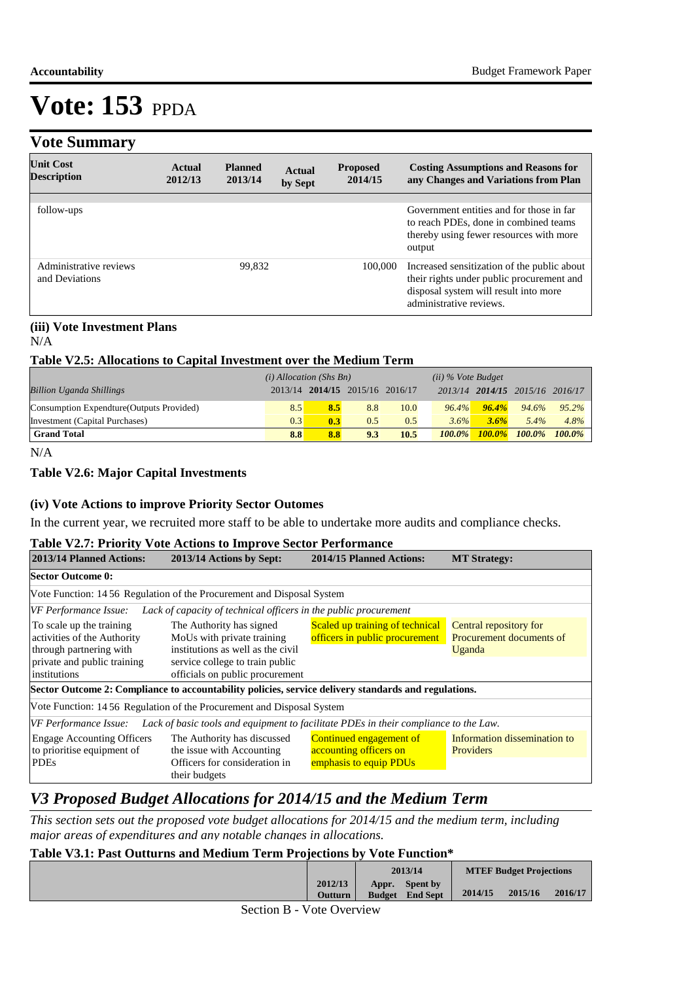# **Vote Summary**

| <b>Unit Cost</b><br><b>Description</b>   | Actual<br>2012/13 | <b>Planned</b><br>2013/14 | Actual<br>by Sept | <b>Proposed</b><br>2014/15 | <b>Costing Assumptions and Reasons for</b><br>any Changes and Variations from Plan                                                                           |
|------------------------------------------|-------------------|---------------------------|-------------------|----------------------------|--------------------------------------------------------------------------------------------------------------------------------------------------------------|
|                                          |                   |                           |                   |                            |                                                                                                                                                              |
| follow-ups                               |                   |                           |                   |                            | Government entities and for those in far<br>to reach PDEs, done in combined teams<br>thereby using fewer resources with more<br>output                       |
| Administrative reviews<br>and Deviations |                   | 99.832                    |                   | 100,000                    | Increased sensitization of the public about<br>their rights under public procurement and<br>disposal system will result into more<br>administrative reviews. |

### **(iii) Vote Investment Plans**

N/A

#### **Table V2.5: Allocations to Capital Investment over the Medium Term**

|                                           | $(i)$ Allocation (Shs Bn) |     |                                 | $(ii)$ % Vote Budget |           |           |                                 |           |
|-------------------------------------------|---------------------------|-----|---------------------------------|----------------------|-----------|-----------|---------------------------------|-----------|
| <b>Billion Uganda Shillings</b>           |                           |     | 2013/14 2014/15 2015/16 2016/17 |                      |           |           | 2013/14 2014/15 2015/16 2016/17 |           |
| Consumption Expendture (Outputs Provided) | 8.5                       | 8.5 | 8.8                             | 10.0                 | 96.4%     | $96.4\%$  | 94.6%                           | $95.2\%$  |
| Investment (Capital Purchases)            | 0.3                       | 0.3 | 0.5                             | 0.5                  | 3.6%      | 3.6%      | $5.4\%$                         | 4.8%      |
| <b>Grand Total</b>                        | 8.8                       | 8.8 | 9.3                             | 10.5                 | $100.0\%$ | $100.0\%$ | 100.0%                          | $100.0\%$ |

N/A

#### **Table V2.6: Major Capital Investments**

#### **(iv) Vote Actions to improve Priority Sector Outomes**

In the current year, we recruited more staff to be able to undertake more audits and compliance checks.

#### **Table V2.7: Priority Vote Actions to Improve Sector Performance**

| 2013/14 Planned Actions:                                                                                                          | 2013/14 Actions by Sept:                                                                                                                                          | 2014/15 Planned Actions:                                                           | <b>MT Strategy:</b>                                          |
|-----------------------------------------------------------------------------------------------------------------------------------|-------------------------------------------------------------------------------------------------------------------------------------------------------------------|------------------------------------------------------------------------------------|--------------------------------------------------------------|
| <b>Sector Outcome 0:</b>                                                                                                          |                                                                                                                                                                   |                                                                                    |                                                              |
|                                                                                                                                   | Vote Function: 14 56 Regulation of the Procurement and Disposal System                                                                                            |                                                                                    |                                                              |
| VF Performance Issue:                                                                                                             | Lack of capacity of technical officers in the public procurement                                                                                                  |                                                                                    |                                                              |
| To scale up the training<br>activities of the Authority<br>through partnering with<br>private and public training<br>institutions | The Authority has signed<br>MoUs with private training<br>institutions as well as the civil<br>service college to train public<br>officials on public procurement | Scaled up training of technical<br>officers in public procurement                  | Central repository for<br>Procurement documents of<br>Uganda |
|                                                                                                                                   | Sector Outcome 2: Compliance to accountability policies, service delivery standards and regulations.                                                              |                                                                                    |                                                              |
|                                                                                                                                   | Vote Function: 14 56 Regulation of the Procurement and Disposal System                                                                                            |                                                                                    |                                                              |
| VF Performance Issue:                                                                                                             | Lack of basic tools and equipment to facilitate PDEs in their compliance to the Law.                                                                              |                                                                                    |                                                              |
| <b>Engage Accounting Officers</b><br>to prioritise equipment of<br><b>PDEs</b>                                                    | The Authority has discussed<br>the issue with Accounting<br>Officers for consideration in<br>their budgets                                                        | <b>Continued engagement of</b><br>accounting officers on<br>emphasis to equip PDUs | Information dissemination to<br>Providers                    |

# *V3 Proposed Budget Allocations for 2014/15 and the Medium Term*

*This section sets out the proposed vote budget allocations for 2014/15 and the medium term, including major areas of expenditures and any notable changes in allocations.* 

### **Table V3.1: Past Outturns and Medium Term Projections by Vote Function\***

|             |                    |       | 2013/14                                   |         | <b>MTEF Budget Projections</b> |         |
|-------------|--------------------|-------|-------------------------------------------|---------|--------------------------------|---------|
|             | 2012/13<br>Outturn | Appr. | <b>Spent by</b><br><b>Budget</b> End Sept | 2014/15 | 2015/16                        | 2016/17 |
| -<br>$\sim$ | $\sim$             |       |                                           |         |                                |         |

Section B - Vote Overview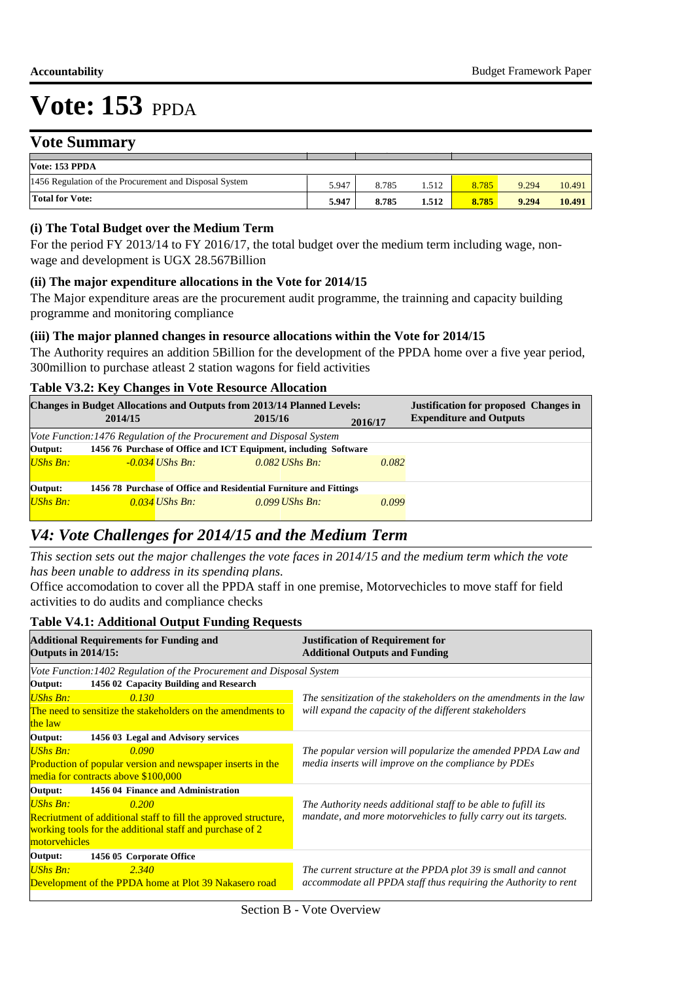# **Vote Summary**

| V ULC DUIHHIIAI V                                      |       |       |       |       |       |        |
|--------------------------------------------------------|-------|-------|-------|-------|-------|--------|
|                                                        |       |       |       |       |       |        |
| Vote: 153 PPDA                                         |       |       |       |       |       |        |
| 1456 Regulation of the Procurement and Disposal System | 5.947 | 8.785 | .512  | 8.785 | 9.294 | 10.491 |
| Total for Vote:                                        | 5.947 | 8.785 | 1.512 | 8.785 | 9.294 | 10.491 |

### **(i) The Total Budget over the Medium Term**

For the period FY 2013/14 to FY 2016/17, the total budget over the medium term including wage, nonwage and development is UGX 28.567Billion

#### **(ii) The major expenditure allocations in the Vote for 2014/15**

The Major expenditure areas are the procurement audit programme, the trainning and capacity building programme and monitoring compliance

#### **(iii) The major planned changes in resource allocations within the Vote for 2014/15**

The Authority requires an addition 5Billion for the development of the PPDA home over a five year period, 300million to purchase atleast 2 station wagons for field activities

#### **Table V3.2: Key Changes in Vote Resource Allocation**

|                   |                  |                                                                                  | <b>Justification for proposed Changes in</b><br><b>Expenditure and Outputs</b>                                                                                                                                         |
|-------------------|------------------|----------------------------------------------------------------------------------|------------------------------------------------------------------------------------------------------------------------------------------------------------------------------------------------------------------------|
|                   |                  | 2016/17                                                                          |                                                                                                                                                                                                                        |
|                   |                  |                                                                                  |                                                                                                                                                                                                                        |
|                   |                  |                                                                                  |                                                                                                                                                                                                                        |
| $-0.034$ UShs Bn: | $0.082$ UShs Bn: | 0.082                                                                            |                                                                                                                                                                                                                        |
|                   |                  |                                                                                  |                                                                                                                                                                                                                        |
|                   |                  |                                                                                  |                                                                                                                                                                                                                        |
| $0.034$ UShs Bn:  | $0.099$ UShs Bn: | 0.099                                                                            |                                                                                                                                                                                                                        |
|                   | 2014/15          | 2015/16<br>Vote Function: 1476 Regulation of the Procurement and Disposal System | <b>Changes in Budget Allocations and Outputs from 2013/14 Planned Levels:</b><br>1456 76 Purchase of Office and ICT Equipment, including Software<br>1456 78 Purchase of Office and Residential Furniture and Fittings |

# *V4: Vote Challenges for 2014/15 and the Medium Term*

*This section sets out the major challenges the vote faces in 2014/15 and the medium term which the vote has been unable to address in its spending plans.*

Office accomodation to cover all the PPDA staff in one premise, Motorvechicles to move staff for field activities to do audits and compliance checks

#### **Table V4.1: Additional Output Funding Requests**

| <b>Additional Requirements for Funding and</b><br><b>Outputs in 2014/15:</b> | <b>Justification of Requirement for</b><br><b>Additional Outputs and Funding</b> |  |
|------------------------------------------------------------------------------|----------------------------------------------------------------------------------|--|
| Vote Function: 1402 Regulation of the Procurement and Disposal System        |                                                                                  |  |
| 1456 02 Capacity Building and Research<br>Output:                            |                                                                                  |  |
| <b>UShs Bn:</b><br>0.130                                                     | The sensitization of the stakeholders on the amendments in the law               |  |
| The need to sensitize the stakeholders on the amendments to                  | will expand the capacity of the different stakeholders                           |  |
| the law                                                                      |                                                                                  |  |
| 1456 03 Legal and Advisory services<br>Output:                               |                                                                                  |  |
| <b>UShs Bn:</b><br>0.090                                                     | The popular version will popularize the amended PPDA Law and                     |  |
| Production of popular version and newspaper inserts in the                   | media inserts will improve on the compliance by PDEs                             |  |
| media for contracts above \$100,000                                          |                                                                                  |  |
| 1456 04 Finance and Administration<br>Output:                                |                                                                                  |  |
| $UShs Bn$ :<br>0.200                                                         | The Authority needs additional staff to be able to fufill its                    |  |
| <b>Recriutment of additional staff to fill the approved structure,</b>       | mandate, and more motorvehicles to fully carry out its targets.                  |  |
| working tools for the additional staff and purchase of 2                     |                                                                                  |  |
| motorvehicles                                                                |                                                                                  |  |
| Output:<br>1456 05 Corporate Office                                          |                                                                                  |  |
| <b>UShs Bn:</b><br>2.340                                                     | The current structure at the PPDA plot 39 is small and cannot                    |  |
| Development of the PPDA home at Plot 39 Nakasero road                        | accommodate all PPDA staff thus requiring the Authority to rent                  |  |
|                                                                              |                                                                                  |  |